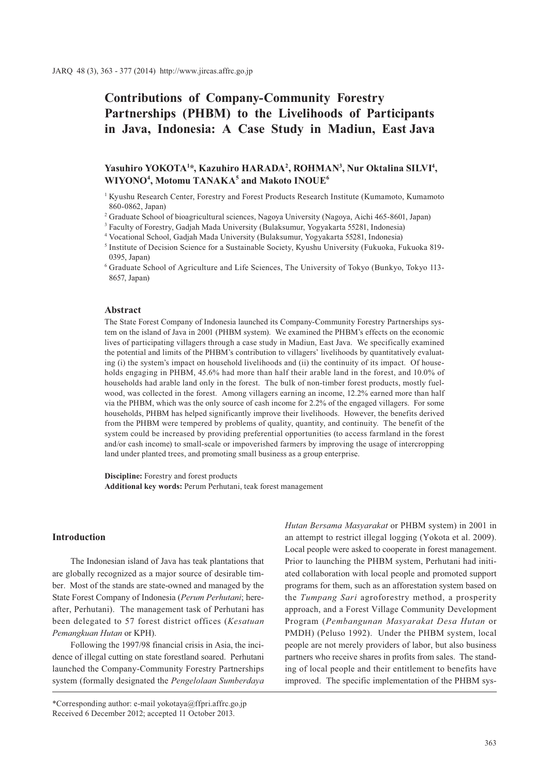# **Contributions of Company-Community Forestry Partnerships (PHBM) to the Livelihoods of Participants in Java, Indonesia: A Case Study in Madiun, East Java**

# Yasuhiro YOKOTA<sup>1\*</sup>, Kazuhiro HARADA<sup>2</sup>, ROHMAN<sup>3</sup>, Nur Oktalina SILVI<sup>4</sup>, **WIYONO4 , Motomu TANAKA5 and Makoto INOUE6**

- <sup>1</sup> Kyushu Research Center, Forestry and Forest Products Research Institute (Kumamoto, Kumamoto 860-0862, Japan)
- 2 Graduate School of bioagricultural sciences, Nagoya University (Nagoya, Aichi 465-8601, Japan)
- <sup>3</sup> Faculty of Forestry, Gadjah Mada University (Bulaksumur, Yogyakarta 55281, Indonesia)
- 4 Vocational School, Gadjah Mada University (Bulaksumur, Yogyakarta 55281, Indonesia)
- <sup>5</sup> Institute of Decision Science for a Sustainable Society, Kyushu University (Fukuoka, Fukuoka 819-0395, Japan)
- 6 Graduate School of Agriculture and Life Sciences, The University of Tokyo (Bunkyo, Tokyo 113- 8657, Japan)

#### **Abstract**

The State Forest Company of Indonesia launched its Company-Community Forestry Partnerships system on the island of Java in 2001 (PHBM system). We examined the PHBM's effects on the economic lives of participating villagers through a case study in Madiun, East Java. We specifically examined the potential and limits of the PHBM's contribution to villagers' livelihoods by quantitatively evaluating (i) the system's impact on household livelihoods and (ii) the continuity of its impact. Of households engaging in PHBM, 45.6% had more than half their arable land in the forest, and 10.0% of households had arable land only in the forest. The bulk of non-timber forest products, mostly fuelwood, was collected in the forest. Among villagers earning an income, 12.2% earned more than half via the PHBM, which was the only source of cash income for 2.2% of the engaged villagers. For some households, PHBM has helped significantly improve their livelihoods. However, the benefits derived from the PHBM were tempered by problems of quality, quantity, and continuity. The benefit of the system could be increased by providing preferential opportunities (to access farmland in the forest and/or cash income) to small-scale or impoverished farmers by improving the usage of intercropping land under planted trees, and promoting small business as a group enterprise.

**Discipline:** Forestry and forest products **Additional key words:** Perum Perhutani, teak forest management

#### **Introduction**

The Indonesian island of Java has teak plantations that are globally recognized as a major source of desirable timber. Most of the stands are state-owned and managed by the State Forest Company of Indonesia (*Perum Perhutani*; hereafter, Perhutani). The management task of Perhutani has been delegated to 57 forest district offices (*Kesatuan Pemangkuan Hutan* or KPH).

Following the 1997/98 financial crisis in Asia, the incidence of illegal cutting on state forestland soared. Perhutani launched the Company-Community Forestry Partnerships system (formally designated the *Pengelolaan Sumberdaya* 

*Hutan Bersama Masyarakat* or PHBM system) in 2001 in an attempt to restrict illegal logging (Yokota et al. 2009). Local people were asked to cooperate in forest management. Prior to launching the PHBM system, Perhutani had initiated collaboration with local people and promoted support programs for them, such as an afforestation system based on the *Tumpang Sari* agroforestry method, a prosperity approach, and a Forest Village Community Development Program (*Pembangunan Masyarakat Desa Hutan* or PMDH) (Peluso 1992). Under the PHBM system, local people are not merely providers of labor, but also business partners who receive shares in profits from sales. The standing of local people and their entitlement to benefits have improved. The specific implementation of the PHBM sys-

<sup>\*</sup>Corresponding author: e-mail yokotaya@ffpri.affrc.go.jp Received 6 December 2012; accepted 11 October 2013.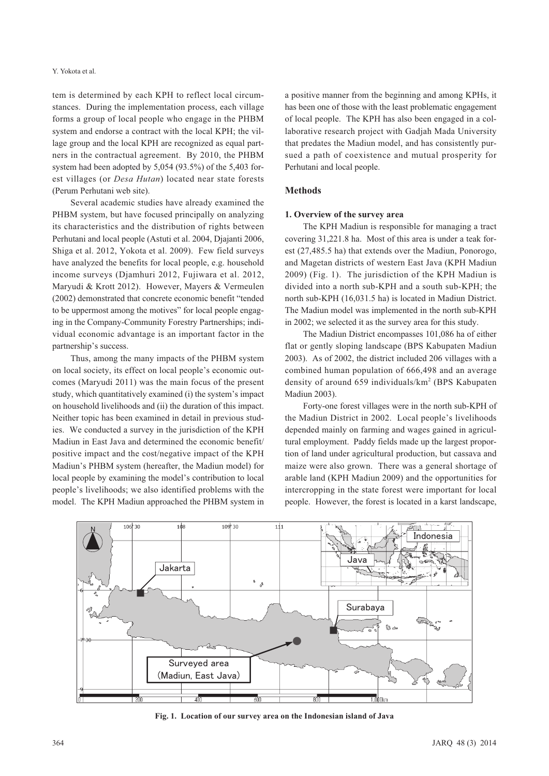tem is determined by each KPH to reflect local circumstances. During the implementation process, each village forms a group of local people who engage in the PHBM system and endorse a contract with the local KPH; the village group and the local KPH are recognized as equal partners in the contractual agreement. By 2010, the PHBM system had been adopted by 5,054 (93.5%) of the 5,403 forest villages (or *Desa Hutan*) located near state forests (Perum Perhutani web site).

Several academic studies have already examined the PHBM system, but have focused principally on analyzing its characteristics and the distribution of rights between Perhutani and local people (Astuti et al. 2004, Djajanti 2006, Shiga et al. 2012, Yokota et al. 2009). Few field surveys have analyzed the benefits for local people, e.g. household income surveys (Djamhuri 2012, Fujiwara et al. 2012, Maryudi & Krott 2012). However, Mayers & Vermeulen (2002) demonstrated that concrete economic benefit "tended to be uppermost among the motives" for local people engaging in the Company-Community Forestry Partnerships; individual economic advantage is an important factor in the partnership's success.

Thus, among the many impacts of the PHBM system on local society, its effect on local people's economic outcomes (Maryudi 2011) was the main focus of the present study, which quantitatively examined (i) the system's impact on household livelihoods and (ii) the duration of this impact. Neither topic has been examined in detail in previous studies. We conducted a survey in the jurisdiction of the KPH Madiun in East Java and determined the economic benefit/ positive impact and the cost/negative impact of the KPH Madiun's PHBM system (hereafter, the Madiun model) for local people by examining the model's contribution to local people's livelihoods; we also identified problems with the model. The KPH Madiun approached the PHBM system in

a positive manner from the beginning and among KPHs, it has been one of those with the least problematic engagement of local people. The KPH has also been engaged in a collaborative research project with Gadjah Mada University that predates the Madiun model, and has consistently pursued a path of coexistence and mutual prosperity for Perhutani and local people.

# **Methods**

#### **1. Overview of the survey area**

The KPH Madiun is responsible for managing a tract covering 31,221.8 ha. Most of this area is under a teak forest (27,485.5 ha) that extends over the Madiun, Ponorogo, and Magetan districts of western East Java (KPH Madiun 2009) (Fig. 1). The jurisdiction of the KPH Madiun is divided into a north sub-KPH and a south sub-KPH; the north sub-KPH (16,031.5 ha) is located in Madiun District. The Madiun model was implemented in the north sub-KPH in 2002; we selected it as the survey area for this study.

The Madiun District encompasses 101,086 ha of either flat or gently sloping landscape (BPS Kabupaten Madiun 2003). As of 2002, the district included 206 villages with a combined human population of 666,498 and an average density of around 659 individuals/km<sup>2</sup> (BPS Kabupaten Madiun 2003).

Forty-one forest villages were in the north sub-KPH of the Madiun District in 2002. Local people's livelihoods depended mainly on farming and wages gained in agricultural employment. Paddy fields made up the largest proportion of land under agricultural production, but cassava and maize were also grown. There was a general shortage of arable land (KPH Madiun 2009) and the opportunities for intercropping in the state forest were important for local people. However, the forest is located in a karst landscape,



**Fig. 1. Location of our survey area on the Indonesian island of Java**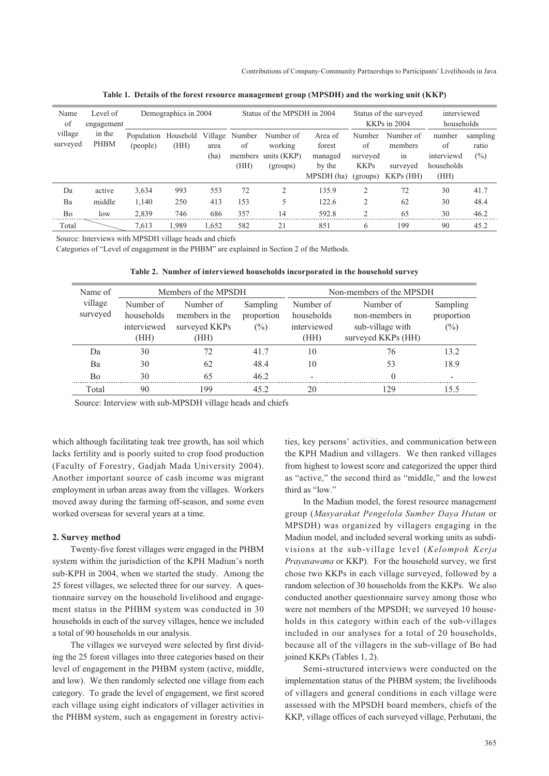| Name<br>of          | Level of<br>engagement |                        | Demographics in 2004 |              |                              | Status of the MPSDH in 2004                             |                                                      |                                                     | Status of the surveyed<br>KKPs in 2004                | interviewed<br>households                        |                             |
|---------------------|------------------------|------------------------|----------------------|--------------|------------------------------|---------------------------------------------------------|------------------------------------------------------|-----------------------------------------------------|-------------------------------------------------------|--------------------------------------------------|-----------------------------|
| village<br>surveyed | in the<br>PHBM         | Population<br>(people) | Household<br>(HH)    | area<br>(ha) | Village Number<br>of<br>(HH) | Number of<br>working<br>members units (KKP)<br>(groups) | Area of<br>forest<br>managed<br>by the<br>MPSDH (ha) | Number<br>of<br>surveyed<br><b>KKPs</b><br>(groups) | Number of<br>members<br>in<br>surveyed<br>$KKPs$ (HH) | number<br>of<br>interviewd<br>households<br>(HH) | sampling<br>ratio<br>$(\%)$ |
| Da                  | active                 | 3,634                  | 993                  | 553          | 72                           | 2                                                       | 135.9                                                | $\overline{2}$                                      | 72                                                    | 30                                               | 41.7                        |
| Ba                  | middle                 | 1,140                  | 250                  | 413          | 153                          | 5                                                       | 122.6                                                | $\overline{2}$                                      | 62                                                    | 30                                               | 48.4                        |
| Bo                  | low                    | 2,839                  | 746                  | 686          | 357                          | 14                                                      | 592.8                                                | $\mathcal{D}$                                       | 65                                                    | 30                                               | 46.2                        |
| Total               |                        | 7.613                  | 1.989                | 1.652        | 582                          | 21                                                      | 851                                                  | 6                                                   | 199                                                   | 90                                               | 45.2                        |

**Table 1. Details of the forest resource management group (MPSDH) and the working unit (KKP)**

Source: Interviews with MPSDH village heads and chiefs

Categories of "Level of engagement in the PHBM" are explained in Section 2 of the Methods.

| Name of  |             | Members of the MPSDH |            |             | Non-members of the MPSDH |            |
|----------|-------------|----------------------|------------|-------------|--------------------------|------------|
| village  | Number of   | Number of            | Sampling   | Number of   | Number of                | Sampling   |
| surveyed | households  | members in the       | proportion | households  | non-members in           | proportion |
|          | interviewed | surveyed KKPs        | $(\%)$     | interviewed | sub-village with         | $(\%)$     |
|          | (HH)        | (HH)                 |            | (HH)        | surveyed KKPs (HH)       |            |
| Da       | 30          | 72                   | 41.7       | 10          | 76                       | 13.2       |
| Ba       | 30          | 62                   | 48.4       | 10          | 53                       | 18.9       |
| Bo       | 30          | 65                   | 46.2       |             | $\Omega$                 |            |
| Total    | 90          | 199                  | 45.2       | 20          | 129                      | 15.5       |

**Table 2. Number of interviewed households incorporated in the household survey**

Source: Interview with sub-MPSDH village heads and chiefs

which although facilitating teak tree growth, has soil which lacks fertility and is poorly suited to crop food production (Faculty of Forestry, Gadjah Mada University 2004). Another important source of cash income was migrant employment in urban areas away from the villages. Workers moved away during the farming off-season, and some even worked overseas for several years at a time.

#### **2. Survey method**

Twenty-five forest villages were engaged in the PHBM system within the jurisdiction of the KPH Madiun's north sub-KPH in 2004, when we started the study. Among the 25 forest villages, we selected three for our survey. A questionnaire survey on the household livelihood and engagement status in the PHBM system was conducted in 30 households in each of the survey villages, hence we included a total of 90 households in our analysis.

The villages we surveyed were selected by first dividing the 25 forest villages into three categories based on their level of engagement in the PHBM system (active, middle, and low). We then randomly selected one village from each category. To grade the level of engagement, we first scored each village using eight indicators of villager activities in the PHBM system, such as engagement in forestry activi-

ties, key persons' activities, and communication between the KPH Madiun and villagers. We then ranked villages from highest to lowest score and categorized the upper third as "active," the second third as "middle," and the lowest third as "low."

In the Madiun model, the forest resource management group (*Masyarakat Pengelola Sumber Daya Hutan* or MPSDH) was organized by villagers engaging in the Madiun model, and included several working units as subdivisions at the sub-village level (*Kelompok Kerja Prayasawana* or KKP). For the household survey, we first chose two KKPs in each village surveyed, followed by a random selection of 30 households from the KKPs. We also conducted another questionnaire survey among those who were not members of the MPSDH; we surveyed 10 households in this category within each of the sub-villages included in our analyses for a total of 20 households, because all of the villagers in the sub-village of Bo had joined KKPs (Tables 1, 2).

Semi-structured interviews were conducted on the implementation status of the PHBM system; the livelihoods of villagers and general conditions in each village were assessed with the MPSDH board members, chiefs of the KKP, village offices of each surveyed village, Perhutani, the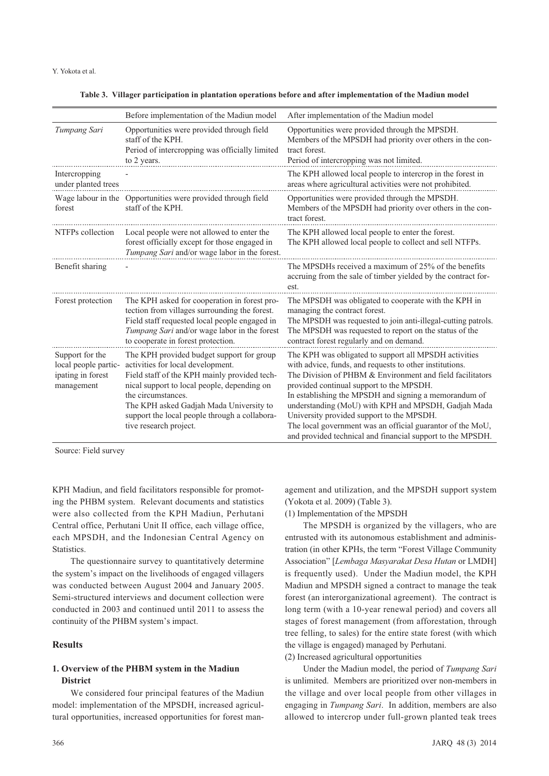#### Y. Yokota et al.

**Table 3. Villager participation in plantation operations before and after implementation of the Madiun model**

|                                                                            | Before implementation of the Madiun model                                                                                                                                                                                                                                                                                 | After implementation of the Madiun model                                                                                                                                                                                                                                                                                                                                                                                                                                                                           |
|----------------------------------------------------------------------------|---------------------------------------------------------------------------------------------------------------------------------------------------------------------------------------------------------------------------------------------------------------------------------------------------------------------------|--------------------------------------------------------------------------------------------------------------------------------------------------------------------------------------------------------------------------------------------------------------------------------------------------------------------------------------------------------------------------------------------------------------------------------------------------------------------------------------------------------------------|
| Tumpang Sari                                                               | Opportunities were provided through field<br>staff of the KPH.<br>Period of intercropping was officially limited<br>to 2 years.                                                                                                                                                                                           | Opportunities were provided through the MPSDH.<br>Members of the MPSDH had priority over others in the con-<br>tract forest.<br>Period of intercropping was not limited.                                                                                                                                                                                                                                                                                                                                           |
| Intercropping<br>under planted trees                                       |                                                                                                                                                                                                                                                                                                                           | The KPH allowed local people to intercrop in the forest in<br>areas where agricultural activities were not prohibited.                                                                                                                                                                                                                                                                                                                                                                                             |
| forest                                                                     | Wage labour in the Opportunities were provided through field<br>staff of the KPH.                                                                                                                                                                                                                                         | Opportunities were provided through the MPSDH.<br>Members of the MPSDH had priority over others in the con-<br>tract forest.                                                                                                                                                                                                                                                                                                                                                                                       |
| NTFPs collection                                                           | Local people were not allowed to enter the<br>forest officially except for those engaged in<br>Tumpang Sari and/or wage labor in the forest.                                                                                                                                                                              | The KPH allowed local people to enter the forest.<br>The KPH allowed local people to collect and sell NTFPs.                                                                                                                                                                                                                                                                                                                                                                                                       |
| Benefit sharing                                                            |                                                                                                                                                                                                                                                                                                                           | The MPSDHs received a maximum of 25% of the benefits<br>accruing from the sale of timber yielded by the contract for-<br>est.                                                                                                                                                                                                                                                                                                                                                                                      |
| Forest protection                                                          | The KPH asked for cooperation in forest pro-<br>tection from villages surrounding the forest.<br>Field staff requested local people engaged in<br>Tumpang Sari and/or wage labor in the forest<br>to cooperate in forest protection.                                                                                      | The MPSDH was obligated to cooperate with the KPH in<br>managing the contract forest.<br>The MPSDH was requested to join anti-illegal-cutting patrols.<br>The MPSDH was requested to report on the status of the<br>contract forest regularly and on demand.                                                                                                                                                                                                                                                       |
| Support for the<br>local people partic-<br>ipating in forest<br>management | The KPH provided budget support for group<br>activities for local development.<br>Field staff of the KPH mainly provided tech-<br>nical support to local people, depending on<br>the circumstances.<br>The KPH asked Gadjah Mada University to<br>support the local people through a collabora-<br>tive research project. | The KPH was obligated to support all MPSDH activities<br>with advice, funds, and requests to other institutions.<br>The Division of PHBM & Environment and field facilitators<br>provided continual support to the MPSDH.<br>In establishing the MPSDH and signing a memorandum of<br>understanding (MoU) with KPH and MPSDH, Gadjah Mada<br>University provided support to the MPSDH.<br>The local government was an official guarantor of the MoU,<br>and provided technical and financial support to the MPSDH. |

Source: Field survey

KPH Madiun, and field facilitators responsible for promoting the PHBM system. Relevant documents and statistics were also collected from the KPH Madiun, Perhutani Central office, Perhutani Unit II office, each village office, each MPSDH, and the Indonesian Central Agency on Statistics.

The questionnaire survey to quantitatively determine the system's impact on the livelihoods of engaged villagers was conducted between August 2004 and January 2005. Semi-structured interviews and document collection were conducted in 2003 and continued until 2011 to assess the continuity of the PHBM system's impact.

## **Results**

## **1. Overview of the PHBM system in the Madiun District**

We considered four principal features of the Madiun model: implementation of the MPSDH, increased agricultural opportunities, increased opportunities for forest man-

agement and utilization, and the MPSDH support system (Yokota et al. 2009) (Table 3).

(1) Implementation of the MPSDH

The MPSDH is organized by the villagers, who are entrusted with its autonomous establishment and administration (in other KPHs, the term "Forest Village Community Association" [*Lembaga Masyarakat Desa Hutan* or LMDH] is frequently used). Under the Madiun model, the KPH Madiun and MPSDH signed a contract to manage the teak forest (an interorganizational agreement). The contract is long term (with a 10-year renewal period) and covers all stages of forest management (from afforestation, through tree felling, to sales) for the entire state forest (with which the village is engaged) managed by Perhutani. (2) Increased agricultural opportunities

Under the Madiun model, the period of *Tumpang Sari* is unlimited. Members are prioritized over non-members in the village and over local people from other villages in engaging in *Tumpang Sari*. In addition, members are also allowed to intercrop under full-grown planted teak trees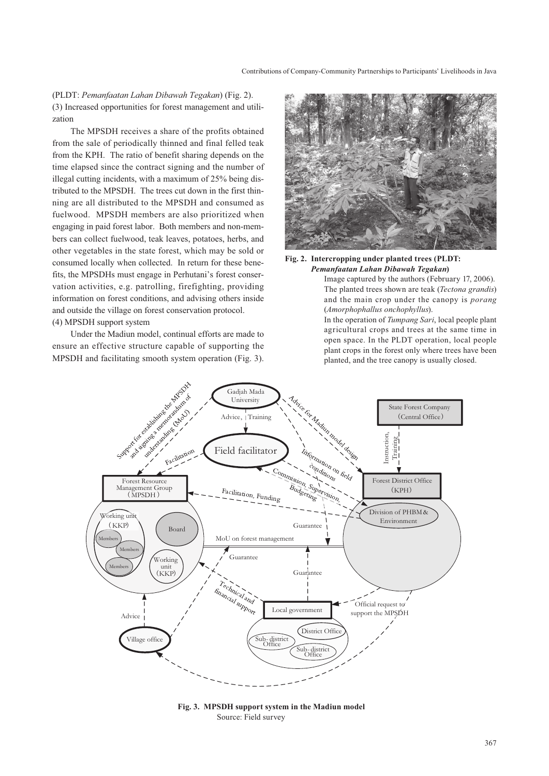(PLDT: *Pemanfaatan Lahan Dibawah Tegakan*) (Fig. 2). (3) Increased opportunities for forest management and utilization

The MPSDH receives a share of the profits obtained from the sale of periodically thinned and final felled teak from the KPH. The ratio of benefit sharing depends on the time elapsed since the contract signing and the number of illegal cutting incidents, with a maximum of 25% being distributed to the MPSDH. The trees cut down in the first thinning are all distributed to the MPSDH and consumed as fuelwood. MPSDH members are also prioritized when engaging in paid forest labor. Both members and non-members can collect fuelwood, teak leaves, potatoes, herbs, and other vegetables in the state forest, which may be sold or consumed locally when collected. In return for these benefits, the MPSDHs must engage in Perhutani's forest conservation activities, e.g. patrolling, firefighting, providing information on forest conditions, and advising others inside and outside the village on forest conservation protocol. (4) MPSDH support system

Under the Madiun model, continual efforts are made to ensure an effective structure capable of supporting the MPSDH and facilitating smooth system operation (Fig. 3).



# **Fig. 2. Intercropping under planted trees (PLDT:**  *Pemanfaatan Lahan Dibawah Tegakan***)**

Image captured by the authors (February 17, 2006). The planted trees shown are teak (*Tectona grandis*) and the main crop under the canopy is *porang* (*Amorphophallus onchophyllus*).

In the operation of *Tumpang Sari*, local people plant agricultural crops and trees at the same time in open space. In the PLDT operation, local people plant crops in the forest only where trees have been planted, and the tree canopy is usually closed.



**Fig. 3. MPSDH support system in the Madiun model** Source: Field survey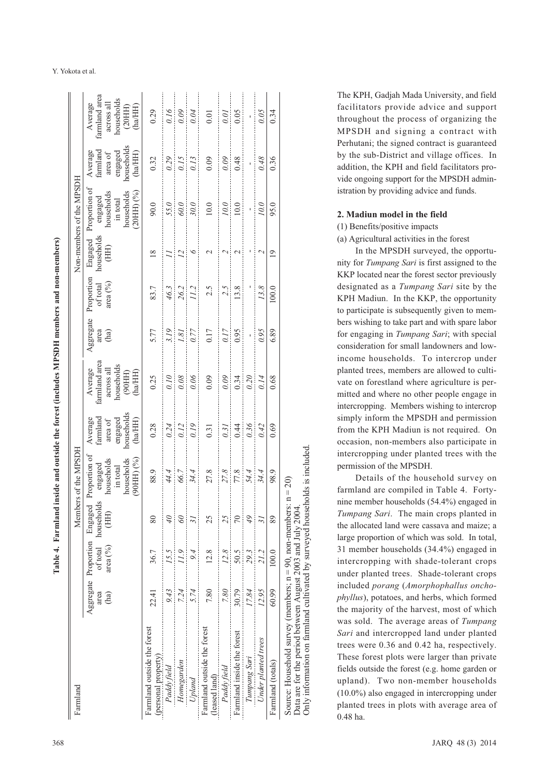| Farmland                                                     |              |                                            | Members                              | of the MPSDH                                                                 |                                                                    |                                                                          |                           |                                       |                               | Non-members of the MPSDH                                                     |                                                                    |                                                                          |
|--------------------------------------------------------------|--------------|--------------------------------------------|--------------------------------------|------------------------------------------------------------------------------|--------------------------------------------------------------------|--------------------------------------------------------------------------|---------------------------|---------------------------------------|-------------------------------|------------------------------------------------------------------------------|--------------------------------------------------------------------|--------------------------------------------------------------------------|
|                                                              | area<br>(ha) | Aggregate Proportion Engaged<br>area $(%)$ | of total households<br>$\widehat{H}$ | Proportion of<br>(90HH)(%<br>households<br>households<br>engaged<br>in total | households<br>farmland<br>engaged<br>Average<br>(ha/HH)<br>area of | farmland area<br>households<br>across all<br>Average<br>(ha/HH)<br>(90H) | Aggregate<br>area<br>(ha) | Proportion<br>area $(\%)$<br>of total | households<br>Engaged<br>(HH) | Proportion of<br>households<br>(20HH)(%<br>households<br>engaged<br>in total | households<br>farmland<br>engaged<br>Average<br>(ha/HH)<br>area of | farmland area<br>households<br>across all<br>Average<br>ha/HH)<br>(20HH) |
| Farmland outside the forest<br>(personal property)           | 22.41        | 36.7                                       | 80                                   | 88.9                                                                         | 0.28                                                               | 0.25                                                                     | 5.77                      | 83.7                                  | $\frac{8}{18}$                | 90.0                                                                         | 0.32                                                               | 0.29                                                                     |
| Paddy field                                                  | 9.43         | 15.5                                       | дÞ                                   | 44.4                                                                         | 0.24                                                               | 0.10                                                                     | 3.19                      | 46.3                                  |                               | 55.0                                                                         | 0.29                                                               | 0.16                                                                     |
| Homegarden                                                   | 7.24         | 119                                        | 99                                   | 66.7                                                                         | 0.12                                                               | 0.08                                                                     | 1.81                      | 26.2                                  | $\overline{L}$                | $60.0$                                                                       | 0.15                                                               | 0.09                                                                     |
| Upland                                                       | 5.74         | 9.4                                        |                                      | 34.4                                                                         | 0.19                                                               | 0.06                                                                     | 0.77                      | 11.2                                  |                               | 30.0                                                                         | 0.13                                                               | 0.04                                                                     |
| Farmland outside the forest<br>(leased land)                 | 7.80         | 12.8                                       | 25                                   | 27.8                                                                         | 0.31                                                               | 0.09                                                                     | 0.17                      | 2.5                                   |                               | 10.0                                                                         | 0.09                                                               | 0.01                                                                     |
| Paddy field                                                  | 7.80         | 12.8                                       | 25                                   | 27.8                                                                         | 0.31                                                               | 0.09                                                                     | 0.17                      | 2.5                                   |                               | 0.01                                                                         | 0.09                                                               | 0.01                                                                     |
| Farmland inside the forest                                   | 30.79        | 50.5                                       | 70                                   | 77.8                                                                         | 0.44                                                               | 0.34                                                                     | 0.95                      | 13.8                                  |                               | 10.0                                                                         | 0.48                                                               | 0.05                                                                     |
| Tumpang Sari                                                 | 17.84        | 29.3                                       | 49                                   | 54.4                                                                         | 0.36                                                               | 0.20                                                                     |                           |                                       |                               |                                                                              |                                                                    |                                                                          |
| Under planted trees                                          | 12.95        | 21.2                                       |                                      | 34.4                                                                         | 0.42                                                               | 0.14                                                                     | 0.95                      | 13.8                                  | $\overline{\mathcal{C}}$      | 0.0                                                                          | 0.48                                                               | 0.05                                                                     |
| Farmland (totals)                                            | 60.99        | 100.0                                      | 89                                   | 98.9                                                                         | 0.69                                                               | 0.68                                                                     | 6.89                      | 100.0                                 | $\overline{1}$                | 95.0                                                                         | 0.36                                                               | 0.34                                                                     |
| Source: Household survey (members; $n = 90$ , non-members: n |              |                                            |                                      | $= 20$                                                                       |                                                                    |                                                                          |                           |                                       |                               |                                                                              |                                                                    |                                                                          |

information on farmland cultivated by surveyed households is included. Only information on farmland cultivated by surveyed households is included. Data are for the period between August 2003 and July 2004.<br>Only information on farmland cultivated by surveyed househ Data are for the period between August 2003 and July 2004.

The KPH, Gadjah Mada University, and field facilitators provide advice and support throughout the process of organizing the MPSDH and signing a contract with Perhutani; the signed contract is guaranteed by the sub-District and village offices. In addition, the KPH and field facilitators provide ongoing support for the MPSDH administration by providing advice and funds.

## **2. Madiun model in the field**

(1) Benefits/positive impacts

(a) Agricultural activities in the forest

In the MPSDH surveyed, the opportunity for *Tumpang Sari* is first assigned to the KKP located near the forest sector previously designated as a *Tumpang Sari* site by the KPH Madiun. In the KKP, the opportunity to participate is subsequently given to members wishing to take part and with spare labor for engaging in *Tumpang Sari*; with special consideration for small landowners and lowincome households. To intercrop under planted trees, members are allowed to cultivate on forestland where agriculture is permitted and where no other people engage in intercropping. Members wishing to intercrop simply inform the MPSDH and permission from the KPH Madiun is not required. On occasion, non-members also participate in intercropping under planted trees with the permission of the MPSDH.

Details of the household survey on farmland are compiled in Table 4. Fortynine member households (54.4%) engaged in *Tumpang Sari*. The main crops planted in the allocated land were cassava and maize; a large proportion of which was sold. In total, 31 member households (34.4%) engaged in intercropping with shade-tolerant crops under planted trees. Shade-tolerant crops included *porang* (*Amorphophallus onchophyllus*), potatoes, and herbs, which formed the majority of the harvest, most of which was sold. The average areas of *Tumpang Sari* and intercropped land under planted trees were 0.36 and 0.42 ha, respectively. These forest plots were larger than private fields outside the forest (e.g. home garden or upland). Two non-member households (10.0%) also engaged in intercropping under planted trees in plots with average area of 0.48 ha.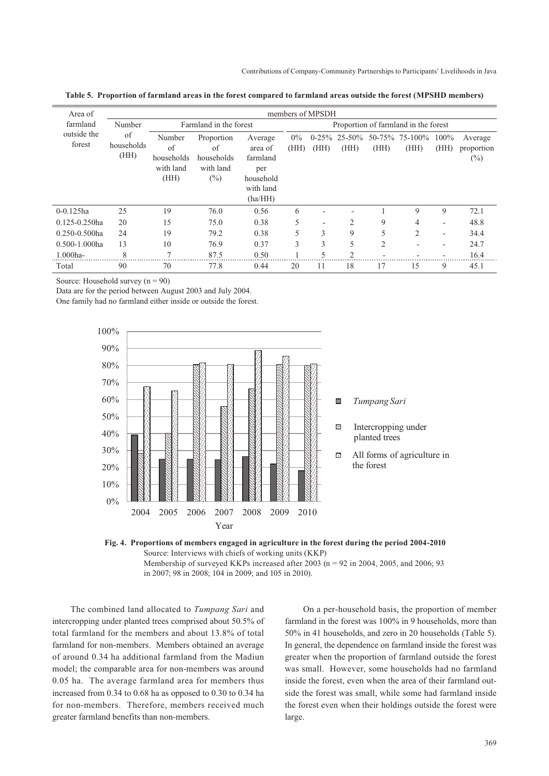**Table 5. Proportion of farmland areas in the forest compared to farmland areas outside the forest (MPSHD members)**

| Area of               |                          |                                                 |                                                       |                                                                            |               | members of MPSDH         |                         |      |                                      |                              |                                 |
|-----------------------|--------------------------|-------------------------------------------------|-------------------------------------------------------|----------------------------------------------------------------------------|---------------|--------------------------|-------------------------|------|--------------------------------------|------------------------------|---------------------------------|
| farmland              | Number                   |                                                 | Farmland in the forest                                |                                                                            |               |                          |                         |      | Proportion of farmland in the forest |                              |                                 |
| outside the<br>forest | of<br>households<br>(HH) | Number<br>of<br>households<br>with land<br>(HH) | Proportion<br>of<br>households<br>with land<br>$(\%)$ | Average<br>area of<br>farmland<br>per<br>household<br>with land<br>(ha/HH) | $0\%$<br>(HH) | (HH)                     | $0-25\%$ 25-50%<br>(HH) | (HH) | 50-75% 75-100%<br>(HH)               | $100\%$<br>(HH)              | Average<br>proportion<br>$(\%)$ |
| $0-0.125$ ha          | 25                       | 19                                              | 76.0                                                  | 0.56                                                                       | 6             |                          |                         |      | 9                                    | 9                            | 72.1                            |
| $0.125 - 0.250$ ha    | 20                       | 15                                              | 75.0                                                  | 0.38                                                                       | 5             | $\overline{\phantom{a}}$ | 2                       | 9    | 4                                    | $\overline{\phantom{0}}$     | 48.8                            |
| $0.250 - 0.500$ ha    | 24                       | 19                                              | 79.2                                                  | 0.38                                                                       |               | 3                        | 9                       | 5    | 2                                    | $\qquad \qquad \blacksquare$ | 34.4                            |
| 0.500-1.000ha         | 13                       | 10                                              | 76.9                                                  | 0.37                                                                       | 3             | 3                        | 5                       | 2    | $\overline{\phantom{a}}$             |                              | 24.7                            |
| 1.000ha-              | 8                        | 7                                               | 87.5                                                  | 0.50                                                                       |               | 5                        | $\overline{2}$          |      |                                      |                              | 16.4                            |
| Total                 | 90                       | 70                                              | 77.8                                                  | 0.44                                                                       | 20            | 11                       | 18                      | 17   | 15                                   | 9                            | 45.1                            |

Source: Household survey  $(n = 90)$ 

Data are for the period between August 2003 and July 2004.

One family had no farmland either inside or outside the forest.





Membership of surveyed KKPs increased after 2003 (n = 92 in 2004, 2005, and 2006; 93 in 2007; 98 in 2008; 104 in 2009; and 105 in 2010).

The combined land allocated to *Tumpang Sari* and intercropping under planted trees comprised about 50.5% of total farmland for the members and about 13.8% of total farmland for non-members. Members obtained an average of around 0.34 ha additional farmland from the Madiun model; the comparable area for non-members was around 0.05 ha. The average farmland area for members thus increased from 0.34 to 0.68 ha as opposed to 0.30 to 0.34 ha for non-members. Therefore, members received much greater farmland benefits than non-members.

On a per-household basis, the proportion of member farmland in the forest was 100% in 9 households, more than 50% in 41 households, and zero in 20 households (Table 5). In general, the dependence on farmland inside the forest was greater when the proportion of farmland outside the forest was small. However, some households had no farmland inside the forest, even when the area of their farmland outside the forest was small, while some had farmland inside the forest even when their holdings outside the forest were large.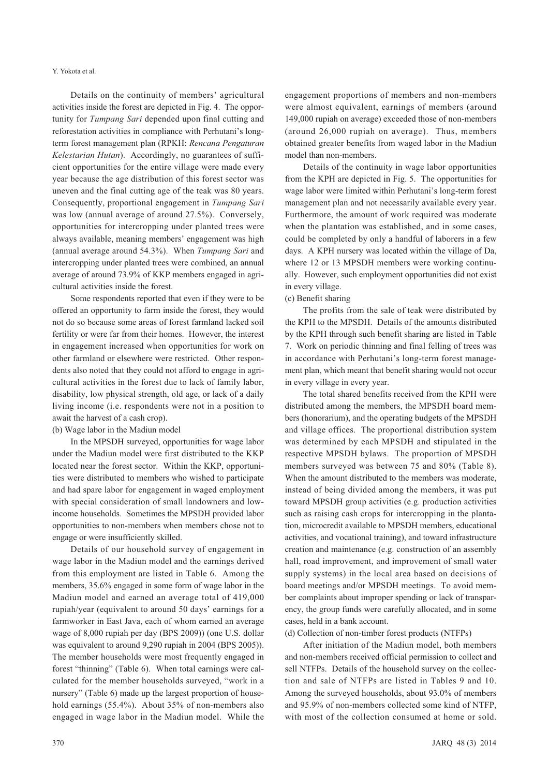#### Y. Yokota et al.

Details on the continuity of members' agricultural activities inside the forest are depicted in Fig. 4. The opportunity for *Tumpang Sari* depended upon final cutting and reforestation activities in compliance with Perhutani's longterm forest management plan (RPKH: *Rencana Pengaturan Kelestarian Hutan*). Accordingly, no guarantees of sufficient opportunities for the entire village were made every year because the age distribution of this forest sector was uneven and the final cutting age of the teak was 80 years. Consequently, proportional engagement in *Tumpang Sari* was low (annual average of around 27.5%). Conversely, opportunities for intercropping under planted trees were always available, meaning members' engagement was high (annual average around 54.3%). When *Tumpang Sari* and intercropping under planted trees were combined, an annual average of around 73.9% of KKP members engaged in agricultural activities inside the forest.

Some respondents reported that even if they were to be offered an opportunity to farm inside the forest, they would not do so because some areas of forest farmland lacked soil fertility or were far from their homes. However, the interest in engagement increased when opportunities for work on other farmland or elsewhere were restricted. Other respondents also noted that they could not afford to engage in agricultural activities in the forest due to lack of family labor, disability, low physical strength, old age, or lack of a daily living income (i.e. respondents were not in a position to await the harvest of a cash crop).

(b) Wage labor in the Madiun model

In the MPSDH surveyed, opportunities for wage labor under the Madiun model were first distributed to the KKP located near the forest sector. Within the KKP, opportunities were distributed to members who wished to participate and had spare labor for engagement in waged employment with special consideration of small landowners and lowincome households. Sometimes the MPSDH provided labor opportunities to non-members when members chose not to engage or were insufficiently skilled.

Details of our household survey of engagement in wage labor in the Madiun model and the earnings derived from this employment are listed in Table 6. Among the members, 35.6% engaged in some form of wage labor in the Madiun model and earned an average total of 419,000 rupiah/year (equivalent to around 50 days' earnings for a farmworker in East Java, each of whom earned an average wage of 8,000 rupiah per day (BPS 2009)) (one U.S. dollar was equivalent to around 9,290 rupiah in 2004 (BPS 2005)). The member households were most frequently engaged in forest "thinning" (Table 6). When total earnings were calculated for the member households surveyed, "work in a nursery" (Table 6) made up the largest proportion of household earnings (55.4%). About 35% of non-members also engaged in wage labor in the Madiun model. While the

engagement proportions of members and non-members were almost equivalent, earnings of members (around 149,000 rupiah on average) exceeded those of non-members (around 26,000 rupiah on average). Thus, members obtained greater benefits from waged labor in the Madiun model than non-members.

Details of the continuity in wage labor opportunities from the KPH are depicted in Fig. 5. The opportunities for wage labor were limited within Perhutani's long-term forest management plan and not necessarily available every year. Furthermore, the amount of work required was moderate when the plantation was established, and in some cases, could be completed by only a handful of laborers in a few days. A KPH nursery was located within the village of Da, where 12 or 13 MPSDH members were working continually. However, such employment opportunities did not exist in every village.

# (c) Benefit sharing

The profits from the sale of teak were distributed by the KPH to the MPSDH. Details of the amounts distributed by the KPH through such benefit sharing are listed in Table 7. Work on periodic thinning and final felling of trees was in accordance with Perhutani's long-term forest management plan, which meant that benefit sharing would not occur in every village in every year.

The total shared benefits received from the KPH were distributed among the members, the MPSDH board members (honorarium), and the operating budgets of the MPSDH and village offices. The proportional distribution system was determined by each MPSDH and stipulated in the respective MPSDH bylaws. The proportion of MPSDH members surveyed was between 75 and 80% (Table 8). When the amount distributed to the members was moderate, instead of being divided among the members, it was put toward MPSDH group activities (e.g. production activities such as raising cash crops for intercropping in the plantation, microcredit available to MPSDH members, educational activities, and vocational training), and toward infrastructure creation and maintenance (e.g. construction of an assembly hall, road improvement, and improvement of small water supply systems) in the local area based on decisions of board meetings and/or MPSDH meetings. To avoid member complaints about improper spending or lack of transparency, the group funds were carefully allocated, and in some cases, held in a bank account.

## (d) Collection of non-timber forest products (NTFPs)

After initiation of the Madiun model, both members and non-members received official permission to collect and sell NTFPs. Details of the household survey on the collection and sale of NTFPs are listed in Tables 9 and 10. Among the surveyed households, about 93.0% of members and 95.9% of non-members collected some kind of NTFP, with most of the collection consumed at home or sold.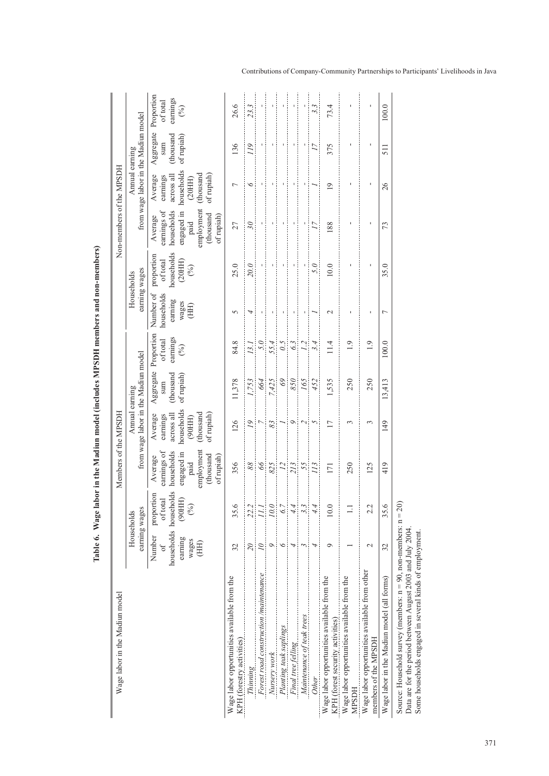| Wage labor in the Madiun model                                                                                                                                                              |                                                |                                                                                 | Members of the MPSDH                                                                                |                                                                                     |                                             |                                           |                                                     |                                                          | Non-members of the MPSDH                                                                            |                                                                                      |                                             |                                           |
|---------------------------------------------------------------------------------------------------------------------------------------------------------------------------------------------|------------------------------------------------|---------------------------------------------------------------------------------|-----------------------------------------------------------------------------------------------------|-------------------------------------------------------------------------------------|---------------------------------------------|-------------------------------------------|-----------------------------------------------------|----------------------------------------------------------|-----------------------------------------------------------------------------------------------------|--------------------------------------------------------------------------------------|---------------------------------------------|-------------------------------------------|
|                                                                                                                                                                                             |                                                | earning wages<br>Households                                                     |                                                                                                     | from wage labor in the Madiun model<br>Annual earning                               |                                             |                                           |                                                     | earning wages<br>Households                              |                                                                                                     | Annual earning                                                                       | from wage labor in the Madiun model         |                                           |
|                                                                                                                                                                                             | Number<br>earning<br>wages<br>(HH)<br>$\sigma$ | households households<br>proportion<br>$_{\mathrm{of\,total}}$<br>(90HH)<br>(%) | employment<br>households<br>earnings of<br>engaged in<br>(thousand<br>of rupiah)<br>Average<br>paid | households<br>(thousand<br>across all<br>of rupiah<br>Average<br>earnings<br>(90HH) | Aggregate<br>(thousand<br>of rupiah)<br>sum | Proportion<br>earnings<br>of total<br>(%) | households<br>Number of<br>earning<br>wages<br>(HH) | households<br>proportion<br>of total<br>(20HH)<br>$(\%)$ | employment<br>earnings of<br>households<br>engaged in<br>(thousand<br>of rupiah)<br>Average<br>paid | households<br>(thousand<br>of rupiah)<br>Average<br>across all<br>earnings<br>(20HH) | Aggregate<br>(thousand<br>of rupiah)<br>sum | Proportion<br>earnings<br>of total<br>(%) |
| Wage labor opportunities available from the<br>KPH (forestry activities)                                                                                                                    | 32                                             | 35.6                                                                            | 356                                                                                                 | 126                                                                                 | 11,378                                      | 84.8                                      | n                                                   | 25.0                                                     | 27                                                                                                  | ⊢                                                                                    | 136                                         | 26.6                                      |
| Thinning                                                                                                                                                                                    | $\overline{\mathcal{E}}$                       | 22.2                                                                            | 88                                                                                                  | ăΪ.                                                                                 | 1,753                                       | $\overline{13}$ .                         | 4                                                   | 20.0                                                     | $\mathcal{S}$                                                                                       | $\circ$                                                                              | 119                                         | 23.3                                      |
| Forest road construction /maintenance                                                                                                                                                       | $\overline{\mathcal{L}}$                       | $\overline{III}$                                                                | $\dot{g}g$                                                                                          | N                                                                                   | .664                                        | 5.0                                       |                                                     |                                                          |                                                                                                     |                                                                                      |                                             |                                           |
| Nursery work                                                                                                                                                                                | 0                                              | 0.0                                                                             | 825                                                                                                 | 83                                                                                  | 7,425                                       | 55.4                                      |                                                     |                                                          |                                                                                                     |                                                                                      |                                             |                                           |
| Planting teak saplings                                                                                                                                                                      | c                                              | 6.7                                                                             |                                                                                                     |                                                                                     | $\mathcal{O}$                               | 0.5                                       |                                                     |                                                          |                                                                                                     |                                                                                      |                                             | t                                         |
| Final tree felling                                                                                                                                                                          | 4                                              | 4.4                                                                             | $\frac{12}{213}$                                                                                    | $\circ$                                                                             | 850                                         | 63                                        |                                                     |                                                          |                                                                                                     |                                                                                      |                                             | ٠                                         |
| Maintenance of teak trees                                                                                                                                                                   |                                                | 3.3                                                                             | 55                                                                                                  | $\mathcal{L}$                                                                       | 165                                         | 1.2                                       |                                                     |                                                          |                                                                                                     |                                                                                      |                                             |                                           |
| <b>Other</b>                                                                                                                                                                                | 4                                              | 4.4                                                                             | 1/3                                                                                                 |                                                                                     | 452                                         |                                           |                                                     | $\tilde{c}$                                              |                                                                                                     |                                                                                      |                                             | 3.3                                       |
| Wage labor opportunities available from the<br>KPH (forest security activities)                                                                                                             | O                                              | 10.0                                                                            | 171                                                                                                 | $\overline{17}$                                                                     | 1,535                                       | 11.4                                      | $\mathcal{L}$                                       | 10.0                                                     | 188                                                                                                 | $\overline{19}$                                                                      | 375                                         | 73.4                                      |
| Wage labor opportunities available from the<br><b>HGSPH</b>                                                                                                                                 |                                                | $\Box$                                                                          | 250                                                                                                 | 3                                                                                   | 250                                         | 1.9                                       |                                                     |                                                          |                                                                                                     |                                                                                      |                                             |                                           |
| Wage labor opportunities available from other<br>members of the MPSDH                                                                                                                       | $\mathcal{L}$                                  | 2.2                                                                             | 125                                                                                                 | 3                                                                                   | 250                                         | 1.9                                       | J,                                                  | ٠                                                        | 1                                                                                                   | 1                                                                                    | 1                                           | ı                                         |
| Wage labor in the Madiun model (all forms)                                                                                                                                                  | 32                                             | 35.6                                                                            | 419                                                                                                 | 149                                                                                 | 13,413                                      | 100.0                                     | 7                                                   | 35.0                                                     | 73                                                                                                  | $\delta$                                                                             | 511                                         | 100.0                                     |
| Source: Household survey (members: $n = 90$ , non-members: $n = 20$<br>Data are for the period between August 2003 and July 2004<br>Some households engaged in several kinds of employment. |                                                |                                                                                 |                                                                                                     |                                                                                     |                                             |                                           |                                                     |                                                          |                                                                                                     |                                                                                      |                                             |                                           |

Table 6. Wage labor in the Madiun model (includes MPSDH members and non-members) **Table 6. Wage labor in the Madiun model (includes MPSDH members and non-members)** Contributions of Company-Community Partnerships to Participants' Livelihoods in Java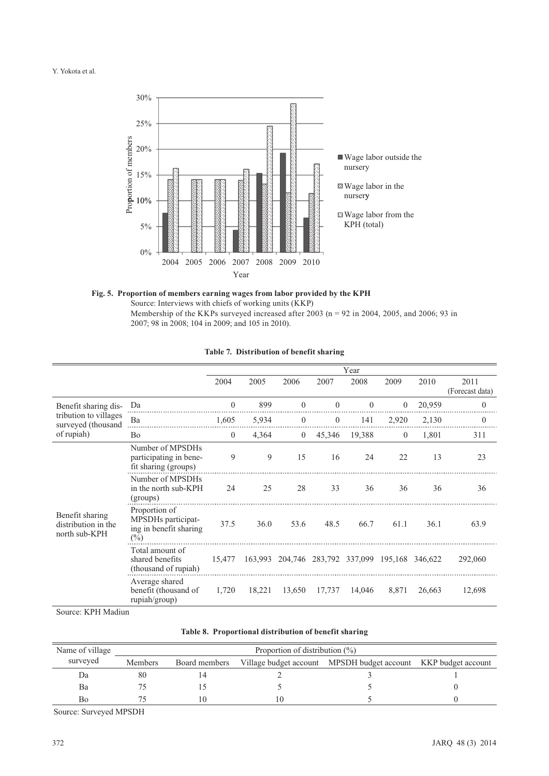



Source: Interviews with chiefs of working units (KKP)

Membership of the KKPs surveyed increased after 2003 (n = 92 in 2004, 2005, and 2006; 93 in 2007; 98 in 2008; 104 in 2009; and 105 in 2010).

|                                                         |                                                                         |                |         |                |          | Year                                    |                |        |                         |
|---------------------------------------------------------|-------------------------------------------------------------------------|----------------|---------|----------------|----------|-----------------------------------------|----------------|--------|-------------------------|
|                                                         |                                                                         | 2004           | 2005    | 2006           | 2007     | 2008                                    | 2009           | 2010   | 2011<br>(Forecast data) |
| Benefit sharing dis-                                    | Da                                                                      | 0              | 899     | $\theta$       | $\Omega$ | $\mathbf{0}$                            | $\overline{0}$ | 20,959 | $\theta$                |
| tribution to villages<br>surveyed (thousand             | Ba                                                                      | 1,605          | 5,934   | $\mathbf{0}$   | $\theta$ | 141                                     | 2,920          | 2,130  | $\theta$                |
| of rupiah)                                              | <b>Bo</b>                                                               | $\overline{0}$ | 4,364   | $\overline{0}$ | 45,346   | 19,388                                  | $\overline{0}$ | 1,801  | 311                     |
|                                                         | Number of MPSDHs<br>participating in bene-<br>fit sharing (groups)      | 9              | 9       | 15             | 16       | 24                                      | 22             | 13     | 23                      |
|                                                         | Number of MPSDHs<br>in the north sub-KPH<br>(groups)                    | 24             | 25      | 28             | 33       | 36                                      | 36             | 36     | 36                      |
| Benefit sharing<br>distribution in the<br>north sub-KPH | Proportion of<br>MPSDHs participat-<br>ing in benefit sharing<br>$(\%)$ | 37.5           | 36.0    | 53.6           | 48.5     | 66.7                                    | 61.1           | 36.1   | 63.9                    |
|                                                         | Total amount of<br>shared benefits<br>(thousand of rupiah)              | 15,477         | 163.993 |                |          | 204,746 283,792 337,099 195,168 346,622 |                |        | 292,060                 |
|                                                         | Average shared<br>benefit (thousand of<br>rupiah/group)                 | 1,720          | 18,221  | 13,650         | 17,737   | 14,046                                  | 8,871          | 26,663 | 12,698                  |

| Table 7. Distribution of benefit sharing |
|------------------------------------------|
|                                          |

Source: KPH Madiun

|  | Table 8. Proportional distribution of benefit sharing |  |  |  |
|--|-------------------------------------------------------|--|--|--|
|--|-------------------------------------------------------|--|--|--|

| Name of village |                |               | Proportion of distribution $(\%)$ |                                                                |  |
|-----------------|----------------|---------------|-----------------------------------|----------------------------------------------------------------|--|
| surveyed        | <b>Members</b> | Board members |                                   | Village budget account MPSDH budget account KKP budget account |  |
| Dа              | 80             |               |                                   |                                                                |  |
| Ba              |                |               |                                   |                                                                |  |
| Bo              |                |               | l ()                              |                                                                |  |

Source: Surveyed MPSDH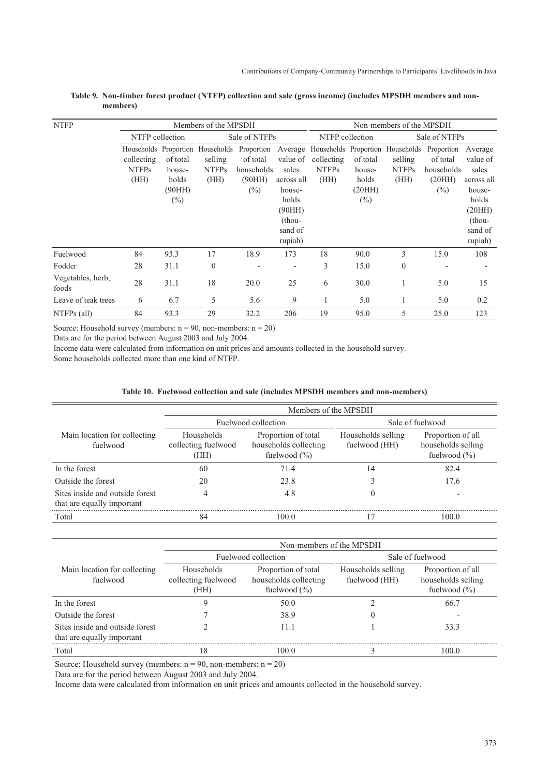| <b>NTFP</b>                |                       |          | Members of the MPSDH |               |            |                                          |          | Non-members of the MPSDH |               |            |
|----------------------------|-----------------------|----------|----------------------|---------------|------------|------------------------------------------|----------|--------------------------|---------------|------------|
|                            | NTFP collection       |          |                      | Sale of NTFPs |            | NTFP collection                          |          |                          | Sale of NTFPs |            |
|                            | Households Proportion |          | Households           | Proportion    |            | Average Households Proportion Households |          |                          | Proportion    | Average    |
|                            | collecting            | of total | selling              | of total      | value of   | collecting                               | of total | selling                  | of total      | value of   |
|                            | <b>NTFPs</b>          | house-   | <b>NTFPs</b>         | households    | sales      | <b>NTFPs</b>                             | house-   | <b>NTFPs</b>             | households    | sales      |
|                            | (HH)                  | holds    | (HH)                 | (90HH)        | across all | (HH)                                     | holds    | (HH)                     | (20HH)        | across all |
|                            |                       | (90HH)   |                      | $(\%)$        | house-     |                                          | (20HH)   |                          | $(\%)$        | house-     |
|                            |                       | $(\%)$   |                      |               | holds      |                                          | $(\%)$   |                          |               | holds      |
|                            |                       |          |                      |               | (90HH)     |                                          |          |                          |               | (20HH)     |
|                            |                       |          |                      |               | (thou-     |                                          |          |                          |               | (thou-     |
|                            |                       |          |                      |               | sand of    |                                          |          |                          |               | sand of    |
|                            |                       |          |                      |               | rupiah)    |                                          |          |                          |               | rupiah)    |
| Fuelwood                   | 84                    | 93.3     | 17                   | 18.9          | 173        | 18                                       | 90.0     | 3                        | 15.0          | 108        |
| Fodder                     | 28                    | 31.1     | $\theta$             |               |            | 3                                        | 15.0     | $\mathbf{0}$             |               |            |
| Vegetables, herb,<br>foods | 28                    | 31.1     | 18                   | 20.0          | 25         | 6                                        | 30.0     |                          | 5.0           | 15         |
| Leave of teak trees        | 6                     | 6.7      | 5                    | 5.6           | 9          |                                          | 5.0      |                          | 5.0           | 0.2        |
| NTFPs (all)                | 84                    | 93.3     | 29                   | 32.2          | 206        | 19                                       | 95.0     | 5                        | 25.0          | 123        |

**Table 9. Non-timber forest product (NTFP) collection and sale (gross income) (includes MPSDH members and nonmembers)**

Source: Household survey (members:  $n = 90$ , non-members:  $n = 20$ )

Data are for the period between August 2003 and July 2004.

Income data were calculated from information on unit prices and amounts collected in the household survey.

Some households collected more than one kind of NTFP.

|  |  |  |  | Table 10. Fuelwood collection and sale (includes MPSDH members and non-members) |
|--|--|--|--|---------------------------------------------------------------------------------|
|--|--|--|--|---------------------------------------------------------------------------------|

|                                                               | Members of the MPSDH                      |                                                                  |                                     |                                                             |  |  |  |  |
|---------------------------------------------------------------|-------------------------------------------|------------------------------------------------------------------|-------------------------------------|-------------------------------------------------------------|--|--|--|--|
|                                                               |                                           | Fuelwood collection                                              |                                     | Sale of fuelwood                                            |  |  |  |  |
| Main location for collecting<br>fuelwood                      | Households<br>collecting fuelwood<br>(HH) | Proportion of total<br>households collecting<br>fuelwood $(\% )$ | Households selling<br>fuelwood (HH) | Proportion of all<br>households selling<br>fuelwood $(\% )$ |  |  |  |  |
| In the forest                                                 | 60                                        | 71.4                                                             | 14                                  | 82.4                                                        |  |  |  |  |
| Outside the forest                                            | 20                                        | 23.8                                                             |                                     | 17.6                                                        |  |  |  |  |
| Sites inside and outside forest<br>that are equally important |                                           | 4.8                                                              | $\theta$                            |                                                             |  |  |  |  |
| Total                                                         | 84                                        | 100.0                                                            |                                     | 100.0                                                       |  |  |  |  |

|                                                               | Non-members of the MPSDH                  |                                                                  |                                     |                                                             |  |  |  |  |
|---------------------------------------------------------------|-------------------------------------------|------------------------------------------------------------------|-------------------------------------|-------------------------------------------------------------|--|--|--|--|
|                                                               |                                           | Fuelwood collection                                              |                                     | Sale of fuelwood                                            |  |  |  |  |
| Main location for collecting<br>fuelwood                      | Households<br>collecting fuelwood<br>(HH) | Proportion of total<br>households collecting<br>fuelwood $(\% )$ | Households selling<br>fuelwood (HH) | Proportion of all<br>households selling<br>fuelwood $(\% )$ |  |  |  |  |
| In the forest                                                 | Q                                         | 50.0                                                             |                                     | 66.7                                                        |  |  |  |  |
| Outside the forest                                            |                                           | 38.9                                                             |                                     |                                                             |  |  |  |  |
| Sites inside and outside forest<br>that are equally important |                                           | 11.1                                                             |                                     | 33.3                                                        |  |  |  |  |
| Total                                                         | 18                                        | 100.0                                                            |                                     | 100.0                                                       |  |  |  |  |

Source: Household survey (members:  $n = 90$ , non-members:  $n = 20$ )

Data are for the period between August 2003 and July 2004.

Income data were calculated from information on unit prices and amounts collected in the household survey.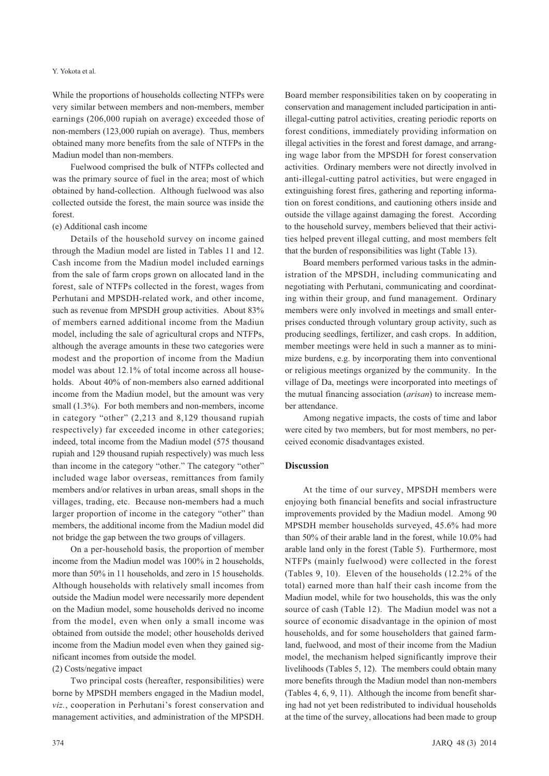#### Y. Yokota et al.

While the proportions of households collecting NTFPs were very similar between members and non-members, member earnings (206,000 rupiah on average) exceeded those of non-members (123,000 rupiah on average). Thus, members obtained many more benefits from the sale of NTFPs in the Madiun model than non-members.

Fuelwood comprised the bulk of NTFPs collected and was the primary source of fuel in the area; most of which obtained by hand-collection. Although fuelwood was also collected outside the forest, the main source was inside the forest.

# (e) Additional cash income

Details of the household survey on income gained through the Madiun model are listed in Tables 11 and 12. Cash income from the Madiun model included earnings from the sale of farm crops grown on allocated land in the forest, sale of NTFPs collected in the forest, wages from Perhutani and MPSDH-related work, and other income, such as revenue from MPSDH group activities. About 83% of members earned additional income from the Madiun model, including the sale of agricultural crops and NTFPs, although the average amounts in these two categories were modest and the proportion of income from the Madiun model was about 12.1% of total income across all households. About 40% of non-members also earned additional income from the Madiun model, but the amount was very small  $(1.3\%)$ . For both members and non-members, income in category "other" (2,213 and 8,129 thousand rupiah respectively) far exceeded income in other categories; indeed, total income from the Madiun model (575 thousand rupiah and 129 thousand rupiah respectively) was much less than income in the category "other." The category "other" included wage labor overseas, remittances from family members and/or relatives in urban areas, small shops in the villages, trading, etc. Because non-members had a much larger proportion of income in the category "other" than members, the additional income from the Madiun model did not bridge the gap between the two groups of villagers.

On a per-household basis, the proportion of member income from the Madiun model was 100% in 2 households, more than 50% in 11 households, and zero in 15 households. Although households with relatively small incomes from outside the Madiun model were necessarily more dependent on the Madiun model, some households derived no income from the model, even when only a small income was obtained from outside the model; other households derived income from the Madiun model even when they gained significant incomes from outside the model.

## (2) Costs/negative impact

Two principal costs (hereafter, responsibilities) were borne by MPSDH members engaged in the Madiun model, *viz.*, cooperation in Perhutani's forest conservation and management activities, and administration of the MPSDH.

Board member responsibilities taken on by cooperating in conservation and management included participation in antiillegal-cutting patrol activities, creating periodic reports on forest conditions, immediately providing information on illegal activities in the forest and forest damage, and arranging wage labor from the MPSDH for forest conservation activities. Ordinary members were not directly involved in anti-illegal-cutting patrol activities, but were engaged in extinguishing forest fires, gathering and reporting information on forest conditions, and cautioning others inside and outside the village against damaging the forest. According to the household survey, members believed that their activities helped prevent illegal cutting, and most members felt that the burden of responsibilities was light (Table 13).

Board members performed various tasks in the administration of the MPSDH, including communicating and negotiating with Perhutani, communicating and coordinating within their group, and fund management. Ordinary members were only involved in meetings and small enterprises conducted through voluntary group activity, such as producing seedlings, fertilizer, and cash crops. In addition, member meetings were held in such a manner as to minimize burdens, e.g. by incorporating them into conventional or religious meetings organized by the community. In the village of Da, meetings were incorporated into meetings of the mutual financing association (*arisan*) to increase member attendance.

Among negative impacts, the costs of time and labor were cited by two members, but for most members, no perceived economic disadvantages existed.

#### **Discussion**

At the time of our survey, MPSDH members were enjoying both financial benefits and social infrastructure improvements provided by the Madiun model. Among 90 MPSDH member households surveyed, 45.6% had more than 50% of their arable land in the forest, while 10.0% had arable land only in the forest (Table 5). Furthermore, most NTFPs (mainly fuelwood) were collected in the forest (Tables 9, 10). Eleven of the households (12.2% of the total) earned more than half their cash income from the Madiun model, while for two households, this was the only source of cash (Table 12). The Madiun model was not a source of economic disadvantage in the opinion of most households, and for some householders that gained farmland, fuelwood, and most of their income from the Madiun model, the mechanism helped significantly improve their livelihoods (Tables 5, 12). The members could obtain many more benefits through the Madiun model than non-members (Tables 4, 6, 9, 11). Although the income from benefit sharing had not yet been redistributed to individual households at the time of the survey, allocations had been made to group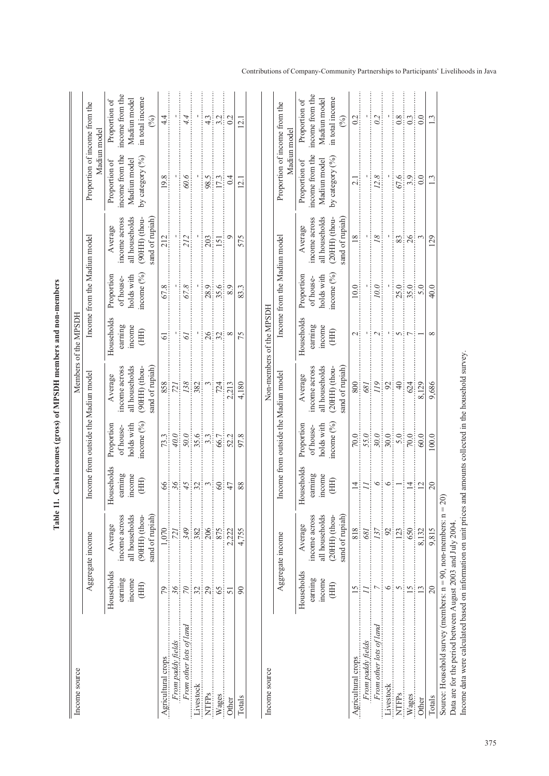| Income source                                                       |                       |                                  |                       |                         |                                      | Members of the MPSDH     |                              |                                 |                                               |                                  |
|---------------------------------------------------------------------|-----------------------|----------------------------------|-----------------------|-------------------------|--------------------------------------|--------------------------|------------------------------|---------------------------------|-----------------------------------------------|----------------------------------|
|                                                                     |                       | Aggregate income                 |                       |                         | Income from outside the Madiun model |                          | Income from the Madiun model |                                 | Proportion of income from the<br>Madiun model |                                  |
|                                                                     | Households<br>earning | income across<br>Average         | Households<br>earning | Proportion<br>of house- | income across<br>Average             | Households               | Proportion<br>of house-      | income across<br>Average        | income from the<br>Proportion of              | income from the<br>Proportion of |
|                                                                     |                       |                                  |                       |                         |                                      | earning                  |                              |                                 |                                               |                                  |
|                                                                     | income                | all households                   | income                | holds with              | all households                       | income                   | holds with                   | all households                  | Madiun model                                  | Madiun model                     |
|                                                                     | (HH)                  | (90HH) (thou-                    | (HH)                  | income $(%)$            | (90HH) (thou-                        | (HH)                     | income $(%$                  | (90HH) (thou-                   | by category (%)                               | in total income                  |
|                                                                     |                       | sand of rupiah)                  |                       |                         | sand of rupiah)                      |                          |                              | sand of rupiah                  |                                               | $($ % $)$                        |
| Agricultural crops                                                  | 79                    | 1,070                            | 99                    | 73.3                    | 858                                  | 61                       | 67.8                         | 212                             | 19.8                                          | $\dot{4}$                        |
| From paddy fields                                                   | $\frac{36}{3}$        | 121                              | 36                    | 40.0                    | 721                                  |                          |                              |                                 |                                               |                                  |
| From other lots of land                                             |                       | 349                              |                       | 50.0                    | 138                                  | 2                        | 67.8                         | 212                             | 909                                           | 4.4                              |
| Livestock                                                           | $rac{5}{2}$           | 382                              | $45$<br>$32$          | 35.6                    | 382                                  |                          |                              |                                 |                                               |                                  |
| <b>NTFPs</b>                                                        | 29                    | 206                              | $\omega$              | 3.3                     |                                      | 26                       | 28.9                         | 203                             | 98.5                                          | $\frac{3}{4}$                    |
| Wages                                                               | 65                    | 875                              | $\infty$              | 66.7                    | 724                                  | 32                       | 35.6                         | 151                             | 17.3                                          | 3.2                              |
| Other                                                               | 51                    | 2.222                            | 47                    | 52.2                    | 213                                  | $\infty$                 | 8.9                          |                                 | 0.4                                           | 0.2                              |
| Totals                                                              | $\infty$              | 4,755                            | 88                    | 97.8                    | 4,180                                | 75                       | 83.3                         | 575                             | $\frac{121}{2}$                               | $\bar{\mathbb{S}}$               |
| Income source                                                       |                       |                                  |                       |                         |                                      | Non-members of the MPSDH |                              |                                 |                                               |                                  |
|                                                                     |                       | Aggregate income                 |                       |                         | Income from outside the Madiun model |                          | Income from the Madiun model |                                 | Proportion of income from the                 |                                  |
|                                                                     |                       |                                  |                       |                         |                                      |                          |                              |                                 | Madiun model                                  |                                  |
|                                                                     | Households            | Average                          | Households            | Proportion              | Average                              | Households               | Proportion                   | Average                         | Proportion of                                 | Proportion of                    |
|                                                                     | earning               | income across                    | earning               | of house-               | income across                        | earning                  | of house-                    | income across                   | income from the                               | income from the                  |
|                                                                     | income                | all households                   | income                | holds with              | all households                       | income                   | holds with                   | all households                  | Madiun model                                  | Madiun model                     |
|                                                                     | (HH)                  | sand of rupiah)<br>(20HH) (thou- | (HH)                  | income $(%$             | sand of rupiah)<br>(20HH) (thou-     | (HH)                     | income $(%$                  | (20HH) (thou-<br>sand of rupiah | by category (%)                               | in total income<br>$(\%)$        |
| Agricultural crops                                                  | $\overline{15}$       | 818                              | $\overline{1}$        | $70.0$                  | 800                                  | $\sim$                   | 10.0                         | $18\,$                          | 2.1                                           | 0.2                              |
| From paddy fields                                                   |                       | 681                              | $\overline{I}$        | 55.0                    | 681                                  | $\mathbf{I}$             |                              | ı                               |                                               |                                  |
| From other lots of land                                             |                       | 137                              | ë                     | 30.0                    | 119                                  | $\sim$                   | 0.0                          | 18                              | 12.8                                          | 0.2                              |
| Livestock                                                           |                       | 92                               | $\circ$               | 30.0                    | 92                                   | ٠                        |                              |                                 |                                               |                                  |
| <b>NTFPs</b>                                                        |                       | $\overline{23}$                  |                       | 5.0                     | $\overline{4}$                       | 5                        | 25.0                         | 83                              | 67.6                                          | 0.8                              |
| Wages                                                               | 5                     | 650                              | $\overline{4}$        | 70.0                    | 624                                  | r                        | 35.0                         | $\frac{26}{2}$                  | 3.9                                           | 0.3                              |
| Other                                                               | 13                    | 8,132                            | $\overline{12}$       | 60.0                    | 8,129                                |                          | 5.0                          | $\epsilon$                      | 0.0                                           | 0.0                              |
| Totals                                                              | $\overline{c}$        | 9,815                            | $\overline{c}$        | 100.0                   | 9,686                                | $^{\circ}$               | 40.0                         | 129                             | 1.3                                           | 1.3                              |
| Source: Household survey (members: $n = 90$ , non-members: $n = 20$ |                       |                                  |                       |                         |                                      |                          |                              |                                 |                                               |                                  |

Table 11. Cash incomes (gross) of MPSDH members and non-members **Table 11. Cash incomes (gross) of MPSDH members and non-members**

Source. Trousemous an vey (includers,  $n = 90$ , non-nitembers,  $n = 20$ )<br>Data are for the period between August 2003 and July 2004.<br>Income data were calculated based on information on unit prices and amounts collected in th Source: Household survey (members:  $n = 90$ , non-members:  $n = 20$ ) Data are for the period between August 2003 and July 2004.

Income data were calculated based on information on unit prices and amounts collected in the household survey.

Contributions of Company-Community Partnerships to Participants' Livelihoods in Java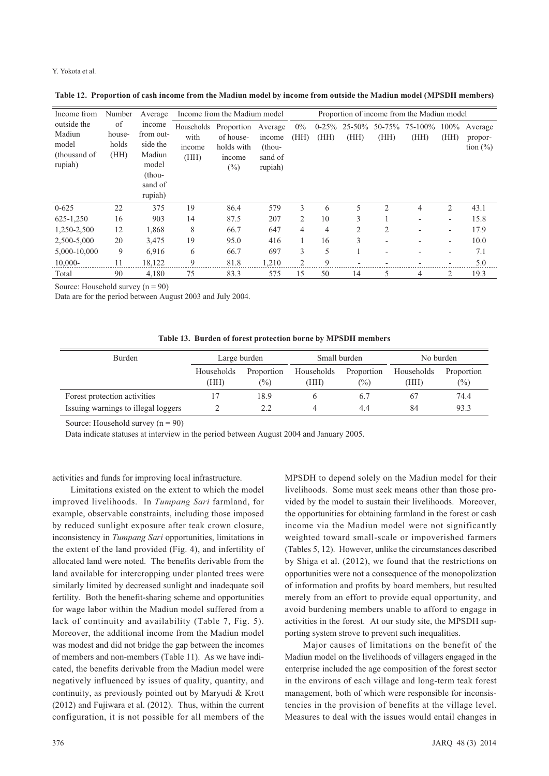| Income from                                               | Number                        | Average                                                                            | Income from the Madium model         |                                                           |                                                   | Proportion of income from the Madiun model |                    |                          |                          |                 |                          |                                    |
|-----------------------------------------------------------|-------------------------------|------------------------------------------------------------------------------------|--------------------------------------|-----------------------------------------------------------|---------------------------------------------------|--------------------------------------------|--------------------|--------------------------|--------------------------|-----------------|--------------------------|------------------------------------|
| outside the<br>Madiun<br>model<br>(thousand of<br>rupiah) | of<br>house-<br>holds<br>(HH) | income<br>from out-<br>side the<br>Madiun<br>model<br>(thou-<br>sand of<br>rupiah) | Households<br>with<br>income<br>(HH) | Proportion<br>of house-<br>holds with<br>income<br>$(\%)$ | Average<br>income<br>(thou-<br>sand of<br>rupiah) | $0\%$<br>(HH)                              | $0 - 25\%$<br>(HH) | $25 - 50\%$<br>(HH)      | $50 - 75\%$<br>(HH)      | 75-100%<br>(HH) | $100\%$<br>(HH)          | Average<br>propor-<br>tion $(\% )$ |
| $0 - 625$                                                 | 22                            | 375                                                                                | 19                                   | 86.4                                                      | 579                                               | 3                                          | 6                  | 5                        | 2                        | 4               | 2                        | 43.1                               |
| $625 - 1,250$                                             | 16                            | 903                                                                                | 14                                   | 87.5                                                      | 207                                               | 2                                          | 10                 | 3                        |                          |                 |                          | 15.8                               |
| 1,250-2,500                                               | 12                            | 1,868                                                                              | 8                                    | 66.7                                                      | 647                                               | 4                                          | 4                  | 2                        | 2                        |                 |                          | 17.9                               |
| 2,500-5,000                                               | 20                            | 3,475                                                                              | 19                                   | 95.0                                                      | 416                                               |                                            | 16                 | 3                        | $\overline{\phantom{a}}$ |                 | $\overline{\phantom{a}}$ | 10.0                               |
| 5,000-10,000                                              | 9                             | 6,916                                                                              | 6                                    | 66.7                                                      | 697                                               | 3                                          | 5                  |                          | $\overline{\phantom{0}}$ |                 |                          | 7.1                                |
| $10,000 -$                                                | 11                            | 18,122                                                                             | 9                                    | 81.8                                                      | 1,210                                             | 2                                          | 9                  | $\overline{\phantom{0}}$ |                          |                 |                          | 5.0                                |
| Total                                                     | 90                            | 4,180                                                                              | 75                                   | 83.3                                                      | 575                                               | 15                                         | 50                 | 14                       | 5                        | 4               | 2                        | 19.3                               |

**Table 12. Proportion of cash income from the Madiun model by income from outside the Madiun model (MPSDH members)**

Source: Household survey  $(n = 90)$ 

Data are for the period between August 2003 and July 2004.

|  | Table 13. Burden of forest protection borne by MPSDH members |  |  |
|--|--------------------------------------------------------------|--|--|
|  |                                                              |  |  |

| <b>Burden</b>                       | Large burden       |                              | Small burden       |                              | No burden          |                              |  |
|-------------------------------------|--------------------|------------------------------|--------------------|------------------------------|--------------------|------------------------------|--|
|                                     | Households<br>(HH) | Proportion<br>$\binom{0}{0}$ | Households<br>(HH) | Proportion<br>$\binom{0}{0}$ | Households<br>(HH) | Proportion<br>$\binom{0}{0}$ |  |
| Forest protection activities        |                    | 18.9                         |                    |                              |                    | 74.4                         |  |
| Issuing warnings to illegal loggers |                    | 2.2                          | 4                  | 4.4                          | 84                 | 93.3                         |  |

Source: Household survey  $(n = 90)$ 

Data indicate statuses at interview in the period between August 2004 and January 2005.

activities and funds for improving local infrastructure.

Limitations existed on the extent to which the model improved livelihoods. In *Tumpang Sari* farmland, for example, observable constraints, including those imposed by reduced sunlight exposure after teak crown closure, inconsistency in *Tumpang Sari* opportunities, limitations in the extent of the land provided (Fig. 4), and infertility of allocated land were noted. The benefits derivable from the land available for intercropping under planted trees were similarly limited by decreased sunlight and inadequate soil fertility. Both the benefit-sharing scheme and opportunities for wage labor within the Madiun model suffered from a lack of continuity and availability (Table 7, Fig. 5). Moreover, the additional income from the Madiun model was modest and did not bridge the gap between the incomes of members and non-members (Table 11). As we have indicated, the benefits derivable from the Madiun model were negatively influenced by issues of quality, quantity, and continuity, as previously pointed out by Maryudi & Krott (2012) and Fujiwara et al. (2012). Thus, within the current configuration, it is not possible for all members of the

MPSDH to depend solely on the Madiun model for their livelihoods. Some must seek means other than those provided by the model to sustain their livelihoods. Moreover, the opportunities for obtaining farmland in the forest or cash income via the Madiun model were not significantly weighted toward small-scale or impoverished farmers (Tables 5, 12). However, unlike the circumstances described by Shiga et al. (2012), we found that the restrictions on opportunities were not a consequence of the monopolization of information and profits by board members, but resulted merely from an effort to provide equal opportunity, and avoid burdening members unable to afford to engage in activities in the forest. At our study site, the MPSDH supporting system strove to prevent such inequalities.

Major causes of limitations on the benefit of the Madiun model on the livelihoods of villagers engaged in the enterprise included the age composition of the forest sector in the environs of each village and long-term teak forest management, both of which were responsible for inconsistencies in the provision of benefits at the village level. Measures to deal with the issues would entail changes in